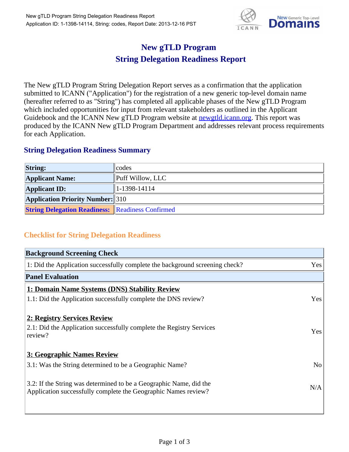

## **New gTLD Program String Delegation Readiness Report**

The New gTLD Program String Delegation Report serves as a confirmation that the application submitted to ICANN ("Application") for the registration of a new generic top-level domain name (hereafter referred to as "String") has completed all applicable phases of the New gTLD Program which included opportunities for input from relevant stakeholders as outlined in the Applicant Guidebook and the ICANN New gTLD Program website at **newgtld.jcann.org**. This report was produced by the ICANN New gTLD Program Department and addresses relevant process requirements for each Application.

## **String Delegation Readiness Summary**

| <b>String:</b>                                          | codes            |
|---------------------------------------------------------|------------------|
| <b>Applicant Name:</b>                                  | Puff Willow, LLC |
| <b>Applicant ID:</b>                                    | $ 1-1398-14114 $ |
| <b>Application Priority Number:</b> 310                 |                  |
| <b>String Delegation Readiness:</b> Readiness Confirmed |                  |

## **Checklist for String Delegation Readiness**

| <b>Background Screening Check</b>                                                                                                    |                |
|--------------------------------------------------------------------------------------------------------------------------------------|----------------|
| 1: Did the Application successfully complete the background screening check?                                                         | Yes            |
| <b>Panel Evaluation</b>                                                                                                              |                |
| 1: Domain Name Systems (DNS) Stability Review                                                                                        |                |
| 1.1: Did the Application successfully complete the DNS review?                                                                       | Yes            |
| 2: Registry Services Review                                                                                                          |                |
| 2.1: Did the Application successfully complete the Registry Services<br>review?                                                      | Yes            |
| <b>3: Geographic Names Review</b>                                                                                                    |                |
| 3.1: Was the String determined to be a Geographic Name?                                                                              | N <sub>o</sub> |
| 3.2: If the String was determined to be a Geographic Name, did the<br>Application successfully complete the Geographic Names review? | N/A            |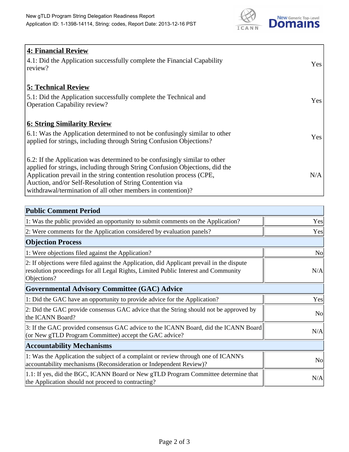

| <b>4: Financial Review</b><br>$\vert$ 4.1: Did the Application successfully complete the Financial Capability<br>review?                                                                                                                                                                                                                                     | <b>Yes</b> |
|--------------------------------------------------------------------------------------------------------------------------------------------------------------------------------------------------------------------------------------------------------------------------------------------------------------------------------------------------------------|------------|
| <b>5: Technical Review</b><br>5.1: Did the Application successfully complete the Technical and<br><b>Operation Capability review?</b>                                                                                                                                                                                                                        | <b>Yes</b> |
| <b>6: String Similarity Review</b><br>$\vert$ 6.1: Was the Application determined to not be confusingly similar to other<br>applied for strings, including through String Confusion Objections?                                                                                                                                                              | Yes        |
| 6.2: If the Application was determined to be confusingly similar to other<br>applied for strings, including through String Confusion Objections, did the<br>Application prevail in the string contention resolution process (CPE,<br>Auction, and/or Self-Resolution of String Contention via<br>withdrawal/termination of all other members in contention)? | N/A        |

| <b>Public Comment Period</b>                                                                                                                                                                   |                |
|------------------------------------------------------------------------------------------------------------------------------------------------------------------------------------------------|----------------|
| 1: Was the public provided an opportunity to submit comments on the Application?                                                                                                               | Yes            |
| 2: Were comments for the Application considered by evaluation panels?                                                                                                                          | Yes            |
| <b>Objection Process</b>                                                                                                                                                                       |                |
| 1: Were objections filed against the Application?                                                                                                                                              | N <sub>o</sub> |
| 2: If objections were filed against the Application, did Applicant prevail in the dispute<br>resolution proceedings for all Legal Rights, Limited Public Interest and Community<br>Objections? | N/A            |
| Governmental Advisory Committee (GAC) Advice                                                                                                                                                   |                |
| 1: Did the GAC have an opportunity to provide advice for the Application?                                                                                                                      | Yes            |
| 2: Did the GAC provide consensus GAC advice that the String should not be approved by<br>the ICANN Board?                                                                                      | N <sub>o</sub> |
| 3: If the GAC provided consensus GAC advice to the ICANN Board, did the ICANN Board<br>(or New gTLD Program Committee) accept the GAC advice?                                                  | N/A            |
| <b>Accountability Mechanisms</b>                                                                                                                                                               |                |
| 1: Was the Application the subject of a complaint or review through one of ICANN's<br>accountability mechanisms (Reconsideration or Independent Review)?                                       | N <sub>0</sub> |
| 1.1: If yes, did the BGC, ICANN Board or New gTLD Program Committee determine that<br>the Application should not proceed to contracting?                                                       | N/A            |